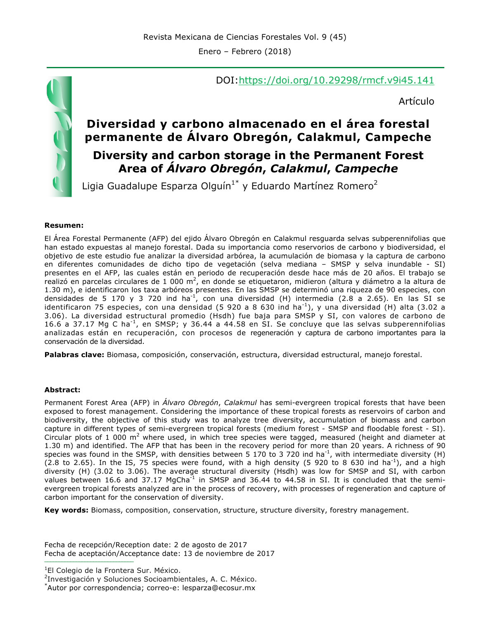DOI:https://doi.org/10.29298/rmcf.v9i45.141

Artículo

## **Diversidad y carbono almacenado en el área forestal permanente de Álvaro Obregón, Calakmul, Campeche Diversity and carbon storage in the Permanent Forest Area of** *Álvaro Obregón***,** *Calakmul***,** *Campeche*

Ligia Guadalupe Esparza Olguín<sup>1\*</sup> y Eduardo Martínez Romero<sup>2</sup>

#### **Resumen:**

El Área Forestal Permanente (AFP) del ejido Álvaro Obregón en Calakmul resguarda selvas subperennifolias que han estado expuestas al manejo forestal. Dada su importancia como reservorios de carbono y biodiversidad, el objetivo de este estudio fue analizar la diversidad arbórea, la acumulación de biomasa y la captura de carbono en diferentes comunidades de dicho tipo de vegetación (selva mediana – SMSP y selva inundable - SI) presentes en el AFP, las cuales están en periodo de recuperación desde hace más de 20 años. El trabajo se realizó en parcelas circulares de 1 000 m<sup>2</sup>, en donde se etiquetaron, midieron (altura y diámetro a la altura de 1.30 m), e identificaron los taxa arbóreos presentes. En las SMSP se determinó una riqueza de 90 especies, con densidades de 5 170 y 3 720 ind ha<sup>-1</sup>, con una diversidad (H) intermedia (2.8 a 2.65). En las SI se identificaron 75 especies, con una densidad (5 920 a 8 630 ind ha<sup>-1</sup>), y una diversidad (H) alta (3.02 a 3.06). La diversidad estructural promedio (Hsdh) fue baja para SMSP y SI, con valores de carbono de 16.6 a 37.17 Mg C ha-1, en SMSP; y 36.44 a 44.58 en SI. Se concluye que las selvas subperennifolias analizadas están en recuperación, con procesos de regeneración y captura de carbono importantes para la conservación de la diversidad.

**Palabras clave:** Biomasa, composición, conservación, estructura, diversidad estructural, manejo forestal.

#### **Abstract:**

Permanent Forest Area (AFP) in *Álvaro Obregón*, *Calakmul* has semi-evergreen tropical forests that have been exposed to forest management. Considering the importance of these tropical forests as reservoirs of carbon and biodiversity, the objective of this study was to analyze tree diversity, accumulation of biomass and carbon capture in different types of semi-evergreen tropical forests (medium forest - SMSP and floodable forest - SI). Circular plots of 1 000  $m^2$  where used, in which tree species were tagged, measured (height and diameter at 1.30 m) and identified. The AFP that has been in the recovery period for more than 20 years. A richness of 90 species was found in the SMSP, with densities between 5 170 to 3 720 ind ha<sup>-1</sup>, with intermediate diversity (H) (2.8 to 2.65). In the IS, 75 species were found, with a high density (5 920 to 8 630 ind ha<sup>-1</sup>), and a high diversity (H) (3.02 to 3.06). The average structural diversity (Hsdh) was low for SMSP and SI, with carbon values between 16.6 and 37.17 MgCha<sup>-1</sup> in SMSP and 36.44 to 44.58 in SI. It is concluded that the semievergreen tropical forests analyzed are in the process of recovery, with processes of regeneration and capture of carbon important for the conservation of diversity.

**Key words:** Biomass, composition, conservation, structure, structure diversity, forestry management.

Fecha de recepción/Reception date: 2 de agosto de 2017 Fecha de aceptación/Acceptance date: 13 de noviembre de 2017 **\_\_\_\_\_\_\_\_\_\_\_\_\_\_\_\_\_\_\_\_\_\_\_\_\_\_\_\_\_\_\_**

<sup>1</sup>El Colegio de la Frontera Sur. México.

2 Investigación y Soluciones Socioambientales, A. C. México.



<sup>\*</sup> Autor por correspondencia; correo-e: lesparza@ecosur.mx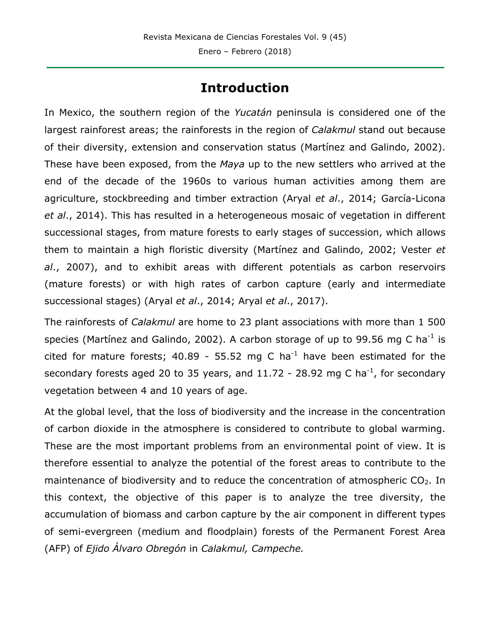## **Introduction**

In Mexico, the southern region of the *Yucatán* peninsula is considered one of the largest rainforest areas; the rainforests in the region of *Calakmul* stand out because of their diversity, extension and conservation status (Martínez and Galindo, 2002). These have been exposed, from the *Maya* up to the new settlers who arrived at the end of the decade of the 1960s to various human activities among them are agriculture, stockbreeding and timber extraction (Aryal *et al*., 2014; García-Licona *et al*., 2014). This has resulted in a heterogeneous mosaic of vegetation in different successional stages, from mature forests to early stages of succession, which allows them to maintain a high floristic diversity (Martínez and Galindo, 2002; Vester *et al*., 2007), and to exhibit areas with different potentials as carbon reservoirs (mature forests) or with high rates of carbon capture (early and intermediate successional stages) (Aryal *et al*., 2014; Aryal *et al*., 2017).

The rainforests of *Calakmul* are home to 23 plant associations with more than 1 500 species (Martínez and Galindo, 2002). A carbon storage of up to 99.56 mg C ha<sup>-1</sup> is cited for mature forests; 40.89 - 55.52 mg C ha<sup>-1</sup> have been estimated for the secondary forests aged 20 to 35 years, and  $11.72$  - 28.92 mg C ha<sup>-1</sup>, for secondary vegetation between 4 and 10 years of age.

At the global level, that the loss of biodiversity and the increase in the concentration of carbon dioxide in the atmosphere is considered to contribute to global warming. These are the most important problems from an environmental point of view. It is therefore essential to analyze the potential of the forest areas to contribute to the maintenance of biodiversity and to reduce the concentration of atmospheric  $CO<sub>2</sub>$ . In this context, the objective of this paper is to analyze the tree diversity, the accumulation of biomass and carbon capture by the air component in different types of semi-evergreen (medium and floodplain) forests of the Permanent Forest Area (AFP) of *Ejido Álvaro Obregón* in *Calakmul, Campeche.*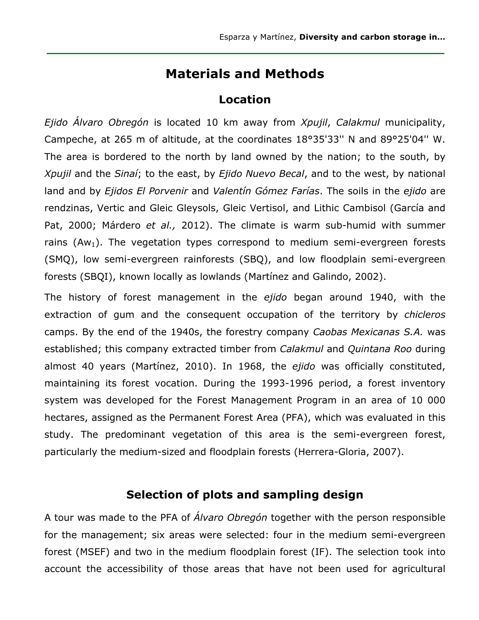### **Materials and Methods**

#### **Location**

*Ejido Álvaro Obregón* is located 10 km away from *Xpujil*, *Calakmul* municipality, Campeche, at 265 m of altitude, at the coordinates 18°35'33'' N and 89°25'04'' W. The area is bordered to the north by land owned by the nation; to the south, by *Xpujil* and the *Sinaí*; to the east, by *Ejido Nuevo Becal*, and to the west, by national land and by *Ejidos El Porvenir* and *Valentín Gómez Farías*. The soils in the *ejido* are rendzinas, Vertic and Gleic Gleysols, Gleic Vertisol, and Lithic Cambisol (García and Pat, 2000; Márdero *et al.,* 2012). The climate is warm sub-humid with summer rains  $(Aw_1)$ . The vegetation types correspond to medium semi-evergreen forests (SMQ), low semi-evergreen rainforests (SBQ), and low floodplain semi-evergreen forests (SBQI), known locally as lowlands (Martínez and Galindo, 2002).

The history of forest management in the *ejido* began around 1940, with the extraction of gum and the consequent occupation of the territory by *chicleros* camps. By the end of the 1940s, the forestry company *Caobas Mexicanas S.A.* was established; this company extracted timber from *Calakmul* and *Quintana Roo* during almost 40 years (Martínez, 2010). In 1968, the *ejido* was officially constituted, maintaining its forest vocation. During the 1993-1996 period, a forest inventory system was developed for the Forest Management Program in an area of 10 000 hectares, assigned as the Permanent Forest Area (PFA), which was evaluated in this study. The predominant vegetation of this area is the semi-evergreen forest, particularly the medium-sized and floodplain forests (Herrera-Gloria, 2007).

### **Selection of plots and sampling design**

A tour was made to the PFA of *Álvaro Obregón* together with the person responsible for the management; six areas were selected: four in the medium semi-evergreen forest (MSEF) and two in the medium floodplain forest (IF). The selection took into account the accessibility of those areas that have not been used for agricultural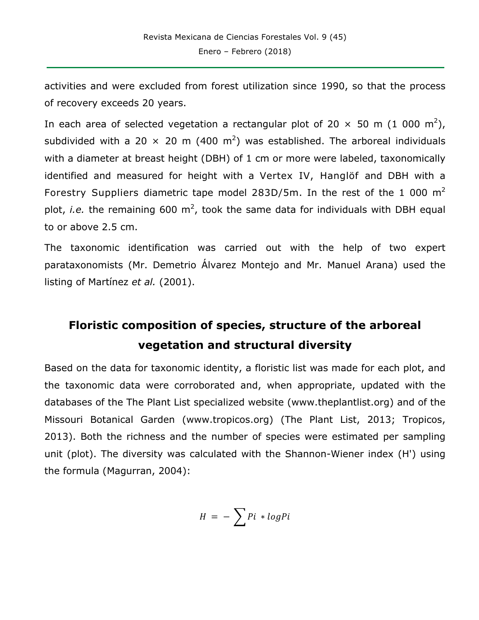activities and were excluded from forest utilization since 1990, so that the process of recovery exceeds 20 years.

In each area of selected vegetation a rectangular plot of 20  $\times$  50 m (1 000 m<sup>2</sup>), subdivided with a 20  $\times$  20 m (400 m<sup>2</sup>) was established. The arboreal individuals with a diameter at breast height (DBH) of 1 cm or more were labeled, taxonomically identified and measured for height with a Vertex IV, Hanglöf and DBH with a Forestry Suppliers diametric tape model 283D/5m. In the rest of the 1 000  $m<sup>2</sup>$ plot, *i.e.* the remaining 600 m<sup>2</sup>, took the same data for individuals with DBH equal to or above 2.5 cm.

The taxonomic identification was carried out with the help of two expert parataxonomists (Mr. Demetrio Álvarez Montejo and Mr. Manuel Arana) used the listing of Martínez *et al.* (2001).

# **Floristic composition of species, structure of the arboreal vegetation and structural diversity**

Based on the data for taxonomic identity, a floristic list was made for each plot, and the taxonomic data were corroborated and, when appropriate, updated with the databases of the The Plant List specialized website (www.theplantlist.org) and of the Missouri Botanical Garden (www.tropicos.org) (The Plant List, 2013; Tropicos, 2013). Both the richness and the number of species were estimated per sampling unit (plot). The diversity was calculated with the Shannon-Wiener index (H') using the formula (Magurran, 2004):

$$
H = -\sum P i * log Pi
$$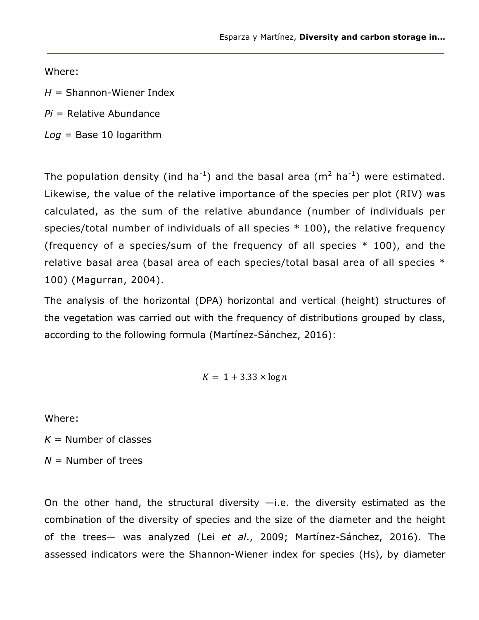Where:

*H =* Shannon-Wiener Index

*Pi* = Relative Abundance

*Log* = Base 10 logarithm

The population density (ind ha<sup>-1</sup>) and the basal area (m<sup>2</sup> ha<sup>-1</sup>) were estimated. Likewise, the value of the relative importance of the species per plot (RIV) was calculated, as the sum of the relative abundance (number of individuals per species/total number of individuals of all species \* 100), the relative frequency (frequency of a species/sum of the frequency of all species  $*$  100), and the relative basal area (basal area of each species/total basal area of all species \* 100) (Magurran, 2004).

The analysis of the horizontal (DPA) horizontal and vertical (height) structures of the vegetation was carried out with the frequency of distributions grouped by class, according to the following formula (Martínez-Sánchez, 2016):

$$
K = 1 + 3.33 \times \log n
$$

Where:

 $K =$  Number of classes

*N* = Number of trees

On the other hand, the structural diversity  $-i.e.$  the diversity estimated as the combination of the diversity of species and the size of the diameter and the height of the trees— was analyzed (Lei *et al*., 2009; Martínez-Sánchez, 2016). The assessed indicators were the Shannon-Wiener index for species (Hs), by diameter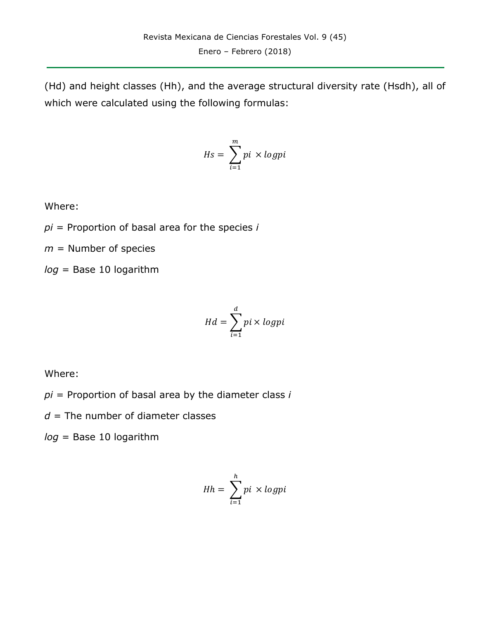(Hd) and height classes (Hh), and the average structural diversity rate (Hsdh), all of which were calculated using the following formulas:

$$
Hs = \sum_{i=1}^{m} pi \times logpi
$$

Where:

*pi* = Proportion of basal area for the species *i*

*m* = Number of species

*log* = Base 10 logarithm

$$
Hd = \sum_{i=1}^{d} pi \times logpi
$$

Where:

*pi* = Proportion of basal area by the diameter class *i*

 $d$  = The number of diameter classes

*log* = Base 10 logarithm

$$
Hh = \sum_{i=1}^{h} pi \times logpi
$$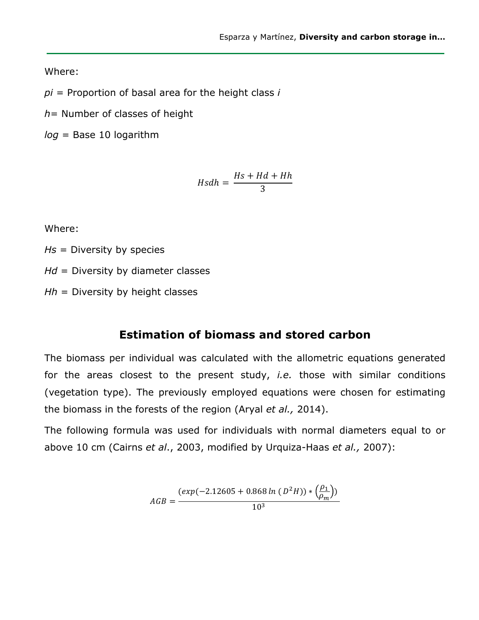Where:

*pi* = Proportion of basal area for the height class *i*

*h*= Number of classes of height

*log* = Base 10 logarithm

$$
Hsdh = \frac{Hs + Hd + Hh}{3}
$$

Where:

*Hs* = Diversity by species

*Hd* = Diversity by diameter classes

*Hh* = Diversity by height classes

#### **Estimation of biomass and stored carbon**

The biomass per individual was calculated with the allometric equations generated for the areas closest to the present study, *i.e.* those with similar conditions (vegetation type). The previously employed equations were chosen for estimating the biomass in the forests of the region (Aryal *et al.,* 2014).

The following formula was used for individuals with normal diameters equal to or above 10 cm (Cairns *et al*., 2003, modified by Urquiza-Haas *et al.,* 2007):

$$
AGB = \frac{(exp(-2.12605 + 0.868 \ln (D^2 H)) * (\frac{\rho_1}{\rho_m}))}{10^3}
$$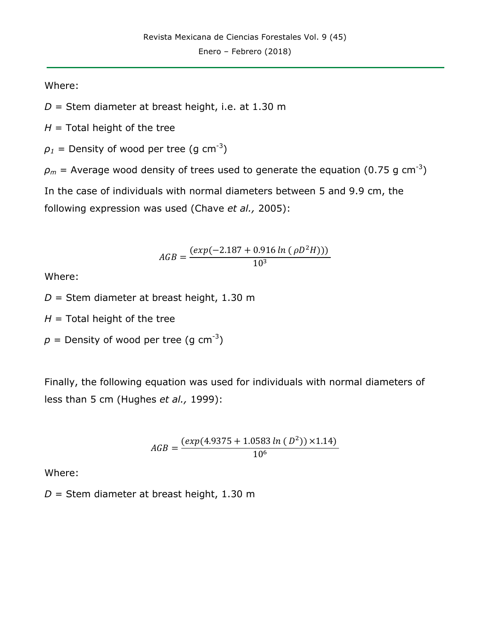Where:

*D* = Stem diameter at breast height, i.e. at 1.30 m

 $H =$ Total height of the tree

 $\rho_1$  = Density of wood per tree (g cm<sup>-3</sup>)

 $\rho_m$  = Average wood density of trees used to generate the equation (0.75 g cm<sup>-3</sup>)

In the case of individuals with normal diameters between 5 and 9.9 cm, the

following expression was used (Chave *et al.,* 2005):

$$
AGB = \frac{(exp(-2.187 + 0.916 \ln (\rho D^2 H)))}{10^3}
$$

Where:

*D* = Stem diameter at breast height, 1.30 m

 $H =$ Total height of the tree

 $p =$  Density of wood per tree (g cm<sup>-3</sup>)

Finally, the following equation was used for individuals with normal diameters of less than 5 cm (Hughes *et al.,* 1999):

$$
AGB = \frac{(exp(4.9375 + 1.0583 \ln (D^{2})) \times 1.14)}{10^{6}}
$$

Where:

*D* = Stem diameter at breast height, 1.30 m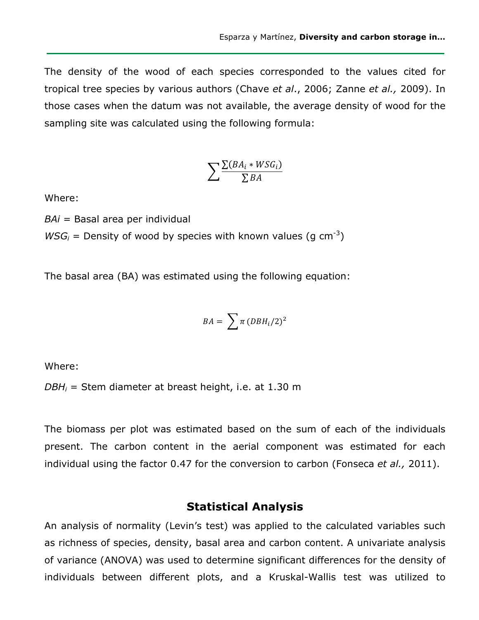The density of the wood of each species corresponded to the values cited for tropical tree species by various authors (Chave *et al*., 2006; Zanne *et al.,* 2009). In those cases when the datum was not available, the average density of wood for the sampling site was calculated using the following formula:

$$
\sum \frac{\sum (BA_i * WSG_i)}{\sum BA}
$$

Where:

*BAi* = Basal area per individual

 $WSG_i$  = Density of wood by species with known values (g cm<sup>-3</sup>)

The basal area (BA) was estimated using the following equation:

$$
BA = \sum \pi (DBH_i/2)^2
$$

Where:

*DBHi* = Stem diameter at breast height, i.e. at 1.30 m

The biomass per plot was estimated based on the sum of each of the individuals present. The carbon content in the aerial component was estimated for each individual using the factor 0.47 for the conversion to carbon (Fonseca *et al.,* 2011).

### **Statistical Analysis**

An analysis of normality (Levin's test) was applied to the calculated variables such as richness of species, density, basal area and carbon content. A univariate analysis of variance (ANOVA) was used to determine significant differences for the density of individuals between different plots, and a Kruskal-Wallis test was utilized to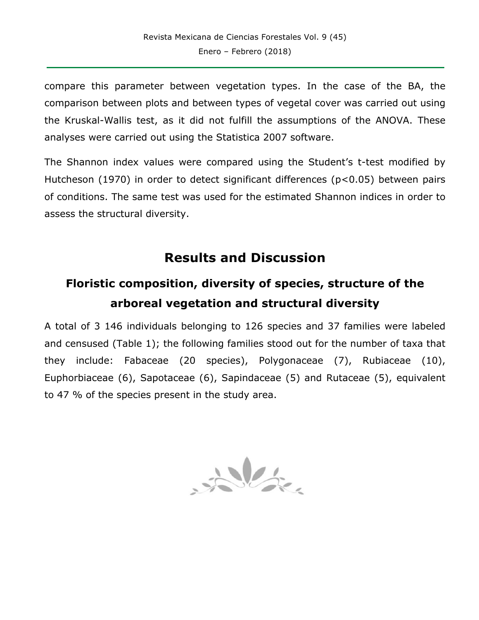compare this parameter between vegetation types. In the case of the BA, the comparison between plots and between types of vegetal cover was carried out using the Kruskal-Wallis test, as it did not fulfill the assumptions of the ANOVA. These analyses were carried out using the Statistica 2007 software.

The Shannon index values were compared using the Student's t-test modified by Hutcheson (1970) in order to detect significant differences (p<0.05) between pairs of conditions. The same test was used for the estimated Shannon indices in order to assess the structural diversity.

## **Results and Discussion**

# **Floristic composition, diversity of species, structure of the arboreal vegetation and structural diversity**

A total of 3 146 individuals belonging to 126 species and 37 families were labeled and censused (Table 1); the following families stood out for the number of taxa that they include: Fabaceae (20 species), Polygonaceae (7), Rubiaceae (10), Euphorbiaceae (6), Sapotaceae (6), Sapindaceae (5) and Rutaceae (5), equivalent to 47 % of the species present in the study area.

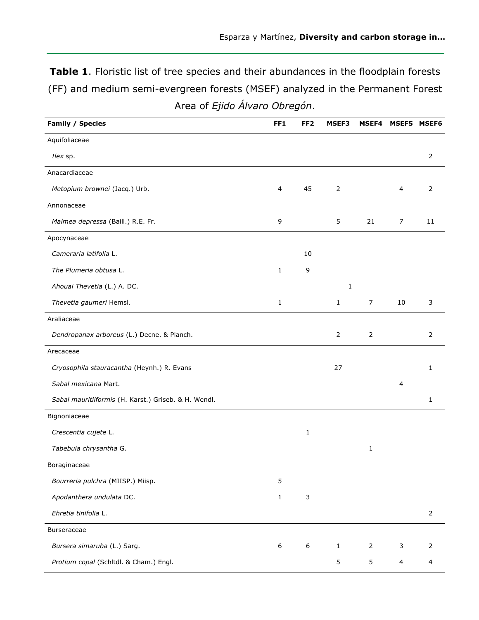**Table 1**. Floristic list of tree species and their abundances in the floodplain forests (FF) and medium semi-evergreen forests (MSEF) analyzed in the Permanent Forest Area of *Ejido Álvaro Obregón*.

| <b>Family / Species</b>                              | FF1            | FF <sub>2</sub>  | MSEF3          | MSEF4          | MSEF5 MSEF6    |                         |
|------------------------------------------------------|----------------|------------------|----------------|----------------|----------------|-------------------------|
| Aquifoliaceae                                        |                |                  |                |                |                |                         |
| Ilex sp.                                             |                |                  |                |                |                | $\overline{2}$          |
| Anacardiaceae                                        |                |                  |                |                |                |                         |
| Metopium brownei (Jacq.) Urb.                        | $\overline{4}$ | 45               | $\overline{2}$ |                | $\overline{4}$ | $\overline{2}$          |
| Annonaceae                                           |                |                  |                |                |                |                         |
| Malmea depressa (Baill.) R.E. Fr.                    | 9              |                  | 5              | 21             | 7              | 11                      |
| Apocynaceae                                          |                |                  |                |                |                |                         |
| Cameraria latifolia L.                               |                | 10               |                |                |                |                         |
| The Plumeria obtusa L.                               | 1              | 9                |                |                |                |                         |
| Ahouai Thevetia (L.) A. DC.                          |                |                  | 1              |                |                |                         |
| Thevetia gaumeri Hemsl.                              | $\mathbf 1$    |                  | $\mathbf{1}$   | $\overline{7}$ | 10             | 3                       |
| Araliaceae                                           |                |                  |                |                |                |                         |
| Dendropanax arboreus (L.) Decne. & Planch.           |                |                  | $\overline{2}$ | $\overline{2}$ |                | $\overline{2}$          |
| Arecaceae                                            |                |                  |                |                |                |                         |
| Cryosophila stauracantha (Heynh.) R. Evans           |                |                  | 27             |                |                | 1                       |
| Sabal mexicana Mart.                                 |                |                  |                |                | 4              |                         |
| Sabal mauritiiformis (H. Karst.) Griseb. & H. Wendl. |                |                  |                |                |                | 1                       |
| Bignoniaceae                                         |                |                  |                |                |                |                         |
| Crescentia cujete L.                                 |                | 1                |                |                |                |                         |
| Tabebuia chrysantha G.                               |                |                  |                | $\mathbf{1}$   |                |                         |
| Boraginaceae                                         |                |                  |                |                |                |                         |
| Bourreria pulchra (MIISP.) Miisp.                    | 5              |                  |                |                |                |                         |
| Apodanthera undulata DC.                             | $\mathbf{1}$   | 3                |                |                |                |                         |
| Ehretia tinifolia L.                                 |                |                  |                |                |                | $\overline{2}$          |
| Burseraceae                                          |                |                  |                |                |                |                         |
| Bursera simaruba (L.) Sarg.                          | 6              | $\boldsymbol{6}$ | $\mathbf{1}$   | $\overline{2}$ | 3              | 2                       |
| Protium copal (Schitdl. & Cham.) Engl.               |                |                  | 5              | 5              | $\overline{4}$ | $\overline{\mathbf{4}}$ |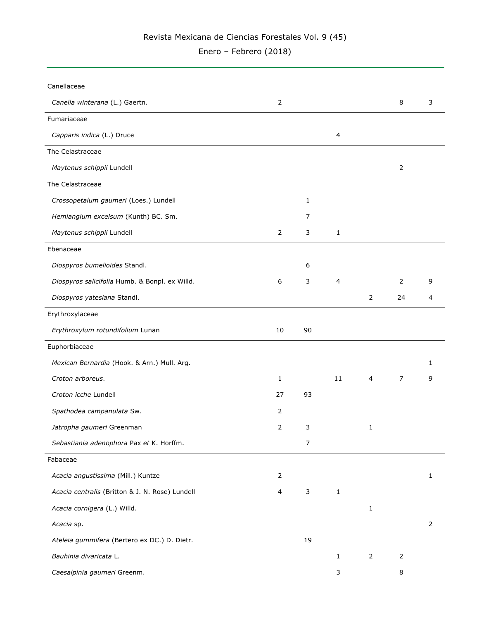Enero – Febrero (2018)

| Canellaceae                                     |                |                  |              |                |                |   |
|-------------------------------------------------|----------------|------------------|--------------|----------------|----------------|---|
| Canella winterana (L.) Gaertn.                  | $\mathbf 2$    |                  |              |                | 8              | 3 |
| Fumariaceae                                     |                |                  |              |                |                |   |
| Capparis indica (L.) Druce                      |                |                  | 4            |                |                |   |
| The Celastraceae                                |                |                  |              |                |                |   |
| Maytenus schippii Lundell                       |                |                  |              |                | 2              |   |
| The Celastraceae                                |                |                  |              |                |                |   |
| Crossopetalum gaumeri (Loes.) Lundell           |                | $\mathbf{1}$     |              |                |                |   |
| Hemiangium excelsum (Kunth) BC. Sm.             |                | 7                |              |                |                |   |
| Maytenus schippii Lundell                       | $\overline{2}$ | 3                | $\mathbf{1}$ |                |                |   |
| Ebenaceae                                       |                |                  |              |                |                |   |
| Diospyros bumelioides Standl.                   |                | 6                |              |                |                |   |
| Diospyros salicifolia Humb. & Bonpl. ex Willd.  | 6              | 3                | 4            |                | $\overline{2}$ | 9 |
| Diospyros yatesiana Standl.                     |                |                  |              | $\overline{2}$ | 24             | 4 |
| Erythroxylaceae                                 |                |                  |              |                |                |   |
| Erythroxylum rotundifolium Lunan                | 10             | 90               |              |                |                |   |
| Euphorbiaceae                                   |                |                  |              |                |                |   |
| Mexican Bernardia (Hook. & Arn.) Mull. Arg.     |                |                  |              |                |                | 1 |
| Croton arboreus.                                | 1              |                  | 11           | $\overline{4}$ | 7              | 9 |
| Croton icche Lundell                            | 27             | 93               |              |                |                |   |
| Spathodea campanulata Sw.                       | 2              |                  |              |                |                |   |
| Jatropha gaumeri Greenman                       | $\mathbf 2$    | 3                |              | 1              |                |   |
| Sebastiania adenophora Pax et K. Horffm.        |                | $\boldsymbol{7}$ |              |                |                |   |
| Fabaceae                                        |                |                  |              |                |                |   |
| Acacia angustissima (Mill.) Kuntze              | $\overline{2}$ |                  |              |                |                | 1 |
| Acacia centralis (Britton & J. N. Rose) Lundell | 4              | $\mathsf{3}$     | $\mathbf{1}$ |                |                |   |
| Acacia cornigera (L.) Willd.                    |                |                  |              | $\mathbf{1}$   |                |   |
| Acacia sp.                                      |                |                  |              |                |                | 2 |
| Ateleia gummifera (Bertero ex DC.) D. Dietr.    |                | 19               |              |                |                |   |
| Bauhinia divaricata L.                          |                |                  | 1            | $\overline{2}$ | $\overline{2}$ |   |
| Caesalpinia gaumeri Greenm.                     |                |                  | 3            |                | 8              |   |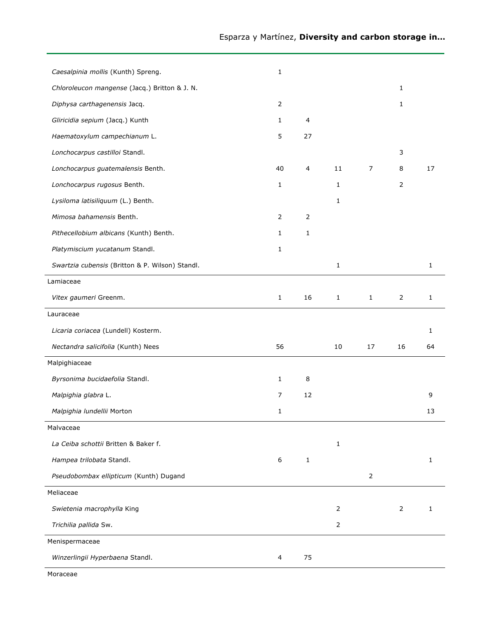| Caesalpinia mollis (Kunth) Spreng.              | $\mathbf{1}$   |                |              |                |                |              |
|-------------------------------------------------|----------------|----------------|--------------|----------------|----------------|--------------|
| Chloroleucon mangense (Jacq.) Britton & J. N.   |                |                |              |                | 1              |              |
| Diphysa carthagenensis Jacq.                    | $\overline{2}$ |                |              |                | 1              |              |
| Gliricidia sepium (Jacq.) Kunth                 | $\mathbf{1}$   | 4              |              |                |                |              |
| Haematoxylum campechianum L.                    | 5              | 27             |              |                |                |              |
| Lonchocarpus castilloi Standl.                  |                |                |              |                | 3              |              |
| Lonchocarpus guatemalensis Benth.               | 40             | 4              | 11           | $\overline{7}$ | 8              | 17           |
| Lonchocarpus rugosus Benth.                     | 1              |                | 1            |                | 2              |              |
| Lysiloma latisiliquum (L.) Benth.               |                |                | $\mathbf{1}$ |                |                |              |
| Mimosa bahamensis Benth.                        | $\overline{2}$ | $\overline{2}$ |              |                |                |              |
| Pithecellobium albicans (Kunth) Benth.          | $\mathbf{1}$   | $\mathbf{1}$   |              |                |                |              |
| Platymiscium yucatanum Standl.                  | $\mathbf{1}$   |                |              |                |                |              |
| Swartzia cubensis (Britton & P. Wilson) Standl. |                |                | $\mathbf{1}$ |                |                | $\mathbf{1}$ |
| Lamiaceae                                       |                |                |              |                |                |              |
| Vitex gaumeri Greenm.                           | $\mathbf{1}$   | 16             | $\mathbf{1}$ | $\mathbf{1}$   | $\overline{2}$ | 1            |
| Lauraceae                                       |                |                |              |                |                |              |
|                                                 |                |                |              |                |                |              |
| Licaria coriacea (Lundell) Kosterm.             |                |                |              |                |                | 1            |
| Nectandra salicifolia (Kunth) Nees              | 56             |                | 10           | 17             | 16             | 64           |
| Malpighiaceae                                   |                |                |              |                |                |              |
| Byrsonima bucidaefolia Standl.                  | 1              | 8              |              |                |                |              |
| Malpighia glabra L.                             | 7              | 12             |              |                |                | 9            |
| Malpighia lundellii Morton                      | 1              |                |              |                |                | 13           |
| Malvaceae                                       |                |                |              |                |                |              |
| La Ceiba schottii Britten & Baker f.            |                |                | $\mathbf{1}$ |                |                |              |
| Hampea trilobata Standl.                        | 6              | $\mathbf{1}$   |              |                |                | 1            |
| Pseudobombax ellipticum (Kunth) Dugand          |                |                |              | $\overline{2}$ |                |              |
| Meliaceae                                       |                |                |              |                |                |              |
| Swietenia macrophylla King                      |                |                | 2            |                | $\overline{2}$ | 1            |
| Trichilia pallida Sw.                           |                |                | 2            |                |                |              |
| Menispermaceae                                  |                |                |              |                |                |              |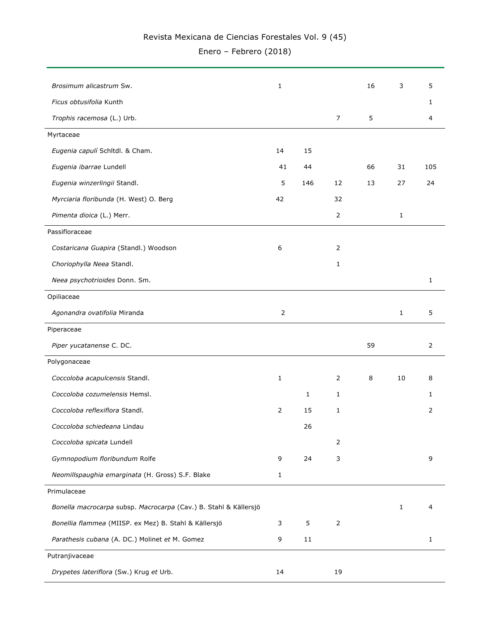Enero – Febrero (2018)

| Brosimum alicastrum Sw.                                          | 1              |              |                | 16 | 3            | 5            |
|------------------------------------------------------------------|----------------|--------------|----------------|----|--------------|--------------|
| Ficus obtusifolia Kunth                                          |                |              |                |    |              | 1            |
| Trophis racemosa (L.) Urb.                                       |                |              | $\overline{7}$ | 5  |              | 4            |
| Myrtaceae                                                        |                |              |                |    |              |              |
| Eugenia capulí Schltdl. & Cham.                                  | 14             | 15           |                |    |              |              |
| Eugenia ibarrae Lundell                                          | 41             | 44           |                | 66 | 31           | 105          |
| Eugenia winzerlingii Standl.                                     | 5              | 146          | 12             | 13 | 27           | 24           |
| Myrciaria floribunda (H. West) O. Berg                           | 42             |              | 32             |    |              |              |
| Pimenta dioica (L.) Merr.                                        |                |              | 2              |    | 1            |              |
| Passifloraceae                                                   |                |              |                |    |              |              |
| Costaricana Guapira (Standl.) Woodson                            | 6              |              | 2              |    |              |              |
| Choriophylla Neea Standl.                                        |                |              | 1              |    |              |              |
| Neea psychotrioides Donn. Sm.                                    |                |              |                |    |              | $\mathbf{1}$ |
| Opiliaceae                                                       |                |              |                |    |              |              |
| Agonandra ovatifolia Miranda                                     | $\overline{2}$ |              |                |    | $\mathbf{1}$ | 5            |
| Piperaceae                                                       |                |              |                |    |              |              |
| Piper yucatanense C. DC.                                         |                |              |                | 59 |              | 2            |
| Polygonaceae                                                     |                |              |                |    |              |              |
| Coccoloba acapulcensis Standl.                                   | 1              |              | 2              | 8  | 10           | 8            |
| Coccoloba cozumelensis Hemsl.                                    |                | $\mathbf{1}$ | 1              |    |              | 1            |
| Coccoloba reflexiflora Standl.                                   | $\overline{2}$ | 15           | 1              |    |              | 2            |
| Coccoloba schiedeana Lindau                                      |                | 26           |                |    |              |              |
| Coccoloba spicata Lundell                                        |                |              | $\overline{2}$ |    |              |              |
| Gymnopodium floribundum Rolfe                                    | 9              | 24           | 3              |    |              | 9            |
| Neomillspaughia emarginata (H. Gross) S.F. Blake                 | 1              |              |                |    |              |              |
| Primulaceae                                                      |                |              |                |    |              |              |
| Bonella macrocarpa subsp. Macrocarpa (Cav.) B. Stahl & Källersjö |                |              |                |    | 1            | 4            |
| Bonellia flammea (MIISP. ex Mez) B. Stahl & Källersjö            | 3              | 5            | $\overline{2}$ |    |              |              |
| Parathesis cubana (A. DC.) Molinet et M. Gomez                   | 9              | 11           |                |    |              | 1            |
| Putranjivaceae                                                   |                |              |                |    |              |              |
| Drypetes lateriflora (Sw.) Krug et Urb.                          | 14             |              | 19             |    |              |              |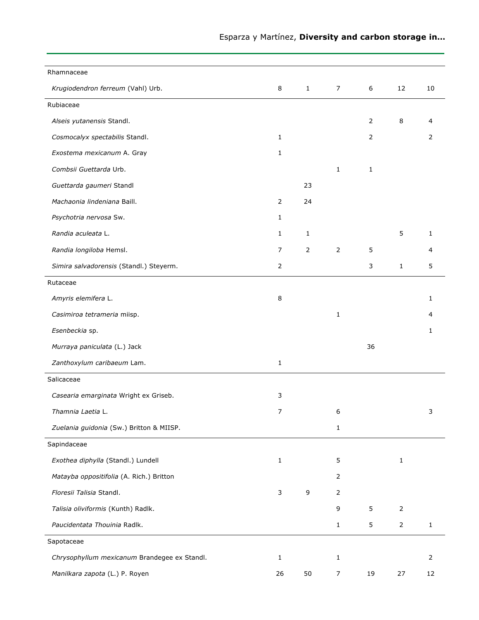| Rhamnaceae                                   |                |                |                |                |                |              |
|----------------------------------------------|----------------|----------------|----------------|----------------|----------------|--------------|
| Krugiodendron ferreum (Vahl) Urb.            | 8              | $\mathbf{1}$   | $\overline{7}$ | 6              | 12             | 10           |
| Rubiaceae                                    |                |                |                |                |                |              |
| Alseis yutanensis Standl.                    |                |                |                | $\overline{2}$ | 8              | 4            |
| Cosmocalyx spectabilis Standl.               | 1              |                |                | 2              |                | 2            |
| Exostema mexicanum A. Gray                   | $\mathbf{1}$   |                |                |                |                |              |
| Combsii Guettarda Urb.                       |                |                | $\mathbf{1}$   | 1              |                |              |
| Guettarda gaumeri Standl                     |                | 23             |                |                |                |              |
| Machaonia lindeniana Baill.                  | $\overline{2}$ | 24             |                |                |                |              |
| Psychotria nervosa Sw.                       | $\mathbf{1}$   |                |                |                |                |              |
| Randia aculeata L.                           | $\mathbf{1}$   | $\mathbf{1}$   |                |                | 5              | $\mathbf{1}$ |
| Randia longiloba Hemsl.                      | 7              | $\overline{2}$ | $\overline{2}$ | 5              |                | 4            |
| Simira salvadorensis (Standl.) Steyerm.      | $\overline{2}$ |                |                | 3              | $\mathbf 1$    | 5            |
| Rutaceae                                     |                |                |                |                |                |              |
| Amyris elemifera L.                          | 8              |                |                |                |                | 1            |
| Casimiroa tetrameria miisp.                  |                |                | $\mathbf{1}$   |                |                |              |
| Esenbeckia sp.                               |                |                |                |                |                | 1            |
| Murraya paniculata (L.) Jack                 |                |                |                | 36             |                |              |
| Zanthoxylum caribaeum Lam.                   | $\mathbf{1}$   |                |                |                |                |              |
| Salicaceae                                   |                |                |                |                |                |              |
| Casearia emarginata Wright ex Griseb.        | 3              |                |                |                |                |              |
| Thamnia Laetia L.                            | $\overline{7}$ |                | 6              |                |                | 3            |
| Zuelania guidonia (Sw.) Britton & MIISP.     |                |                | $\mathbf 1$    |                |                |              |
| Sapindaceae                                  |                |                |                |                |                |              |
| Exothea diphylla (Standl.) Lundell           | 1              |                | 5              |                | $\mathbf 1$    |              |
| Matayba oppositifolia (A. Rich.) Britton     |                |                | 2              |                |                |              |
| Floresii Talisia Standl.                     | 3              | 9              | 2              |                |                |              |
| Talisia oliviformis (Kunth) Radlk.           |                |                | 9              | 5              | $\overline{2}$ |              |
| Paucidentata Thouinia Radlk.                 |                |                | $\mathbf{1}$   | 5              | $\overline{2}$ | $\mathbf{1}$ |
| Sapotaceae                                   |                |                |                |                |                |              |
| Chrysophyllum mexicanum Brandegee ex Standl. | 1              |                | 1              |                |                | 2            |
| Manilkara zapota (L.) P. Royen               | 26             | 50             | $\overline{7}$ | 19             | 27             | 12           |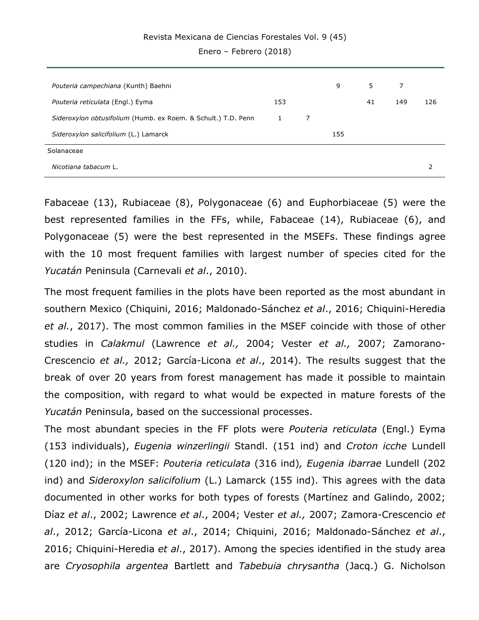Enero – Febrero (2018)

| Pouteria campechiana (Kunth) Baehni                           |     |   | 9   | 5  | 7   |     |
|---------------------------------------------------------------|-----|---|-----|----|-----|-----|
| Pouteria reticulata (Engl.) Eyma                              | 153 |   |     | 41 | 149 | 126 |
| Sideroxylon obtusifolium (Humb. ex Roem. & Schult.) T.D. Penn | 1   | 7 |     |    |     |     |
| Sideroxylon salicifolium (L.) Lamarck                         |     |   | 155 |    |     |     |
| Solanaceae                                                    |     |   |     |    |     |     |
| Nicotiana tabacum L.                                          |     |   |     |    |     |     |

Fabaceae (13), Rubiaceae (8), Polygonaceae (6) and Euphorbiaceae (5) were the best represented families in the FFs, while, Fabaceae (14), Rubiaceae (6), and Polygonaceae (5) were the best represented in the MSEFs. These findings agree with the 10 most frequent families with largest number of species cited for the *Yucatán* Peninsula (Carnevali *et al*., 2010).

The most frequent families in the plots have been reported as the most abundant in southern Mexico (Chiquini, 2016; Maldonado-Sánchez *et al*., 2016; Chiquini-Heredia *et al.*, 2017). The most common families in the MSEF coincide with those of other studies in *Calakmul* (Lawrence *et al.,* 2004; Vester *et al.,* 2007; Zamorano-Crescencio *et al.,* 2012; García-Licona *et al*., 2014). The results suggest that the break of over 20 years from forest management has made it possible to maintain the composition, with regard to what would be expected in mature forests of the *Yucatán* Peninsula, based on the successional processes.

The most abundant species in the FF plots were *Pouteria reticulata* (Engl.) Eyma (153 individuals), *Eugenia winzerlingii* Standl. (151 ind) and *Croton icche* Lundell (120 ind); in the MSEF: *Pouteria reticulata* (316 ind)*, Eugenia ibarrae* Lundell (202 ind) and *Sideroxylon salicifolium* (L.) Lamarck (155 ind). This agrees with the data documented in other works for both types of forests (Martínez and Galindo, 2002; Díaz *et al*., 2002; Lawrence *et al*., 2004; Vester *et al.,* 2007; Zamora-Crescencio *et al*., 2012; García-Licona *et al*., 2014; Chiquini, 2016; Maldonado-Sánchez *et al*., 2016; Chiquini-Heredia *et al*., 2017). Among the species identified in the study area are *Cryosophila argentea* Bartlett and *Tabebuia chrysantha* (Jacq.) G. Nicholson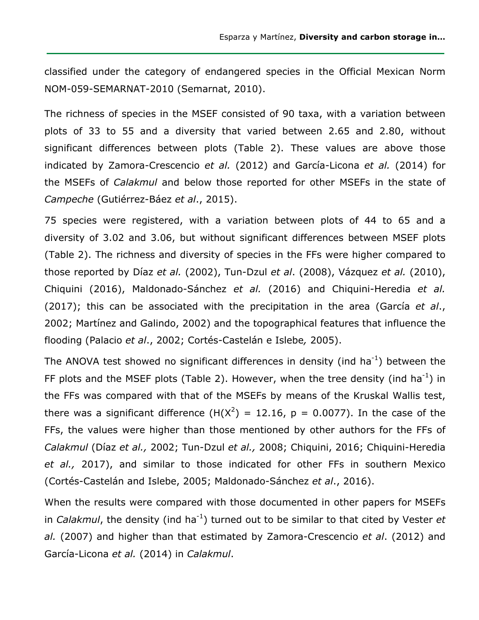classified under the category of endangered species in the Official Mexican Norm NOM-059-SEMARNAT-2010 (Semarnat, 2010).

The richness of species in the MSEF consisted of 90 taxa, with a variation between plots of 33 to 55 and a diversity that varied between 2.65 and 2.80, without significant differences between plots (Table 2). These values are above those indicated by Zamora-Crescencio *et al.* (2012) and García-Licona *et al.* (2014) for the MSEFs of *Calakmul* and below those reported for other MSEFs in the state of *Campeche* (Gutiérrez-Báez *et al*., 2015).

75 species were registered, with a variation between plots of 44 to 65 and a diversity of 3.02 and 3.06, but without significant differences between MSEF plots (Table 2). The richness and diversity of species in the FFs were higher compared to those reported by Díaz *et al.* (2002), Tun-Dzul *et al*. (2008), Vázquez *et al.* (2010), Chiquini (2016), Maldonado-Sánchez *et al.* (2016) and Chiquini-Heredia *et al.* (2017); this can be associated with the precipitation in the area (García *et al*., 2002; Martínez and Galindo, 2002) and the topographical features that influence the flooding (Palacio *et al*., 2002; Cortés-Castelán e Islebe*,* 2005).

The ANOVA test showed no significant differences in density (ind ha<sup>-1</sup>) between the FF plots and the MSEF plots (Table 2). However, when the tree density (ind ha<sup>-1</sup>) in the FFs was compared with that of the MSEFs by means of the Kruskal Wallis test, there was a significant difference (H(X<sup>2</sup>) = 12.16, p = 0.0077). In the case of the FFs, the values were higher than those mentioned by other authors for the FFs of *Calakmul* (Díaz *et al.,* 2002; Tun-Dzul *et al.,* 2008; Chiquini, 2016; Chiquini-Heredia *et al.,* 2017), and similar to those indicated for other FFs in southern Mexico (Cortés-Castelán and Islebe, 2005; Maldonado-Sánchez *et al*., 2016).

When the results were compared with those documented in other papers for MSEFs in *Calakmul*, the density (ind ha<sup>-1</sup>) turned out to be similar to that cited by Vester *et al.* (2007) and higher than that estimated by Zamora-Crescencio *et al*. (2012) and García-Licona *et al.* (2014) in *Calakmul*.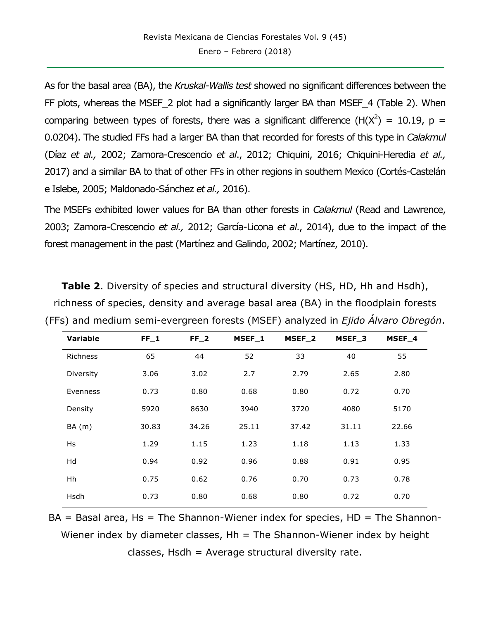As for the basal area (BA), the *Kruskal-Wallis test* showed no significant differences between the FF plots, whereas the MSEF 2 plot had a significantly larger BA than MSEF 4 (Table 2). When comparing between types of forests, there was a significant difference (H( $X^2$ ) = 10.19, p = 0.0204). The studied FFs had a larger BA than that recorded for forests of this type in *Calakmul* (Díaz *et al.,* 2002; Zamora-Crescencio *et al*., 2012; Chiquini, 2016; Chiquini-Heredia *et al.,* 2017) and a similar BA to that of other FFs in other regions in southern Mexico (Cortés-Castelán e Islebe, 2005; Maldonado-Sánchez *et al.,* 2016).

The MSEFs exhibited lower values for BA than other forests in *Calakmul* (Read and Lawrence, 2003; Zamora-Crescencio *et al.,* 2012; García-Licona *et al*., 2014), due to the impact of the forest management in the past (Martínez and Galindo, 2002; Martínez, 2010).

| <b>Variable</b> | $FF_1$ | $FF_2$ | MSEF_1 | MSEF_2 | MSEF_3 | MSEF_4 |
|-----------------|--------|--------|--------|--------|--------|--------|
| <b>Richness</b> | 65     | 44     | 52     | 33     | 40     | 55     |
| Diversity       | 3.06   | 3.02   | 2.7    | 2.79   | 2.65   | 2.80   |
| Evenness        | 0.73   | 0.80   | 0.68   | 0.80   | 0.72   | 0.70   |
| Density         | 5920   | 8630   | 3940   | 3720   | 4080   | 5170   |
| BA(m)           | 30.83  | 34.26  | 25.11  | 37.42  | 31.11  | 22.66  |
| Hs              | 1.29   | 1.15   | 1.23   | 1.18   | 1.13   | 1.33   |
| Hd              | 0.94   | 0.92   | 0.96   | 0.88   | 0.91   | 0.95   |
| Hh              | 0.75   | 0.62   | 0.76   | 0.70   | 0.73   | 0.78   |
| Hsdh            | 0.73   | 0.80   | 0.68   | 0.80   | 0.72   | 0.70   |
|                 |        |        |        |        |        |        |

**Table 2.** Diversity of species and structural diversity (HS, HD, Hh and Hsdh), richness of species, density and average basal area (BA) in the floodplain forests (FFs) and medium semi-evergreen forests (MSEF) analyzed in *Ejido Álvaro Obregón*.

 $BA = Basal area$ ,  $Hs = The Shannon-Wiener index for species$ ,  $HD = The Shannon-$ Wiener index by diameter classes,  $Hh = The Shannon-Wiener$  index by height classes, Hsdh = Average structural diversity rate.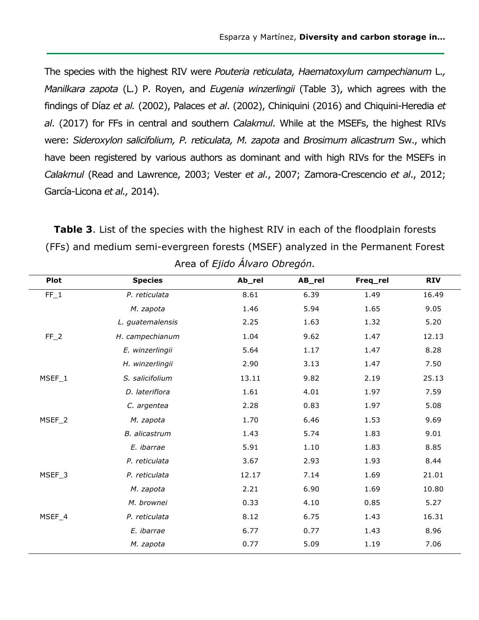The species with the highest RIV were *Pouteria reticulata, Haematoxylum campechianum* L.*, Manilkara zapota* (L.) P. Royen, and *Eugenia winzerlingii* (Table 3), which agrees with the findings of Díaz *et al.* (2002), Palaces *et al*. (2002), Chiniquini (2016) and Chiquini-Heredia *et al*. (2017) for FFs in central and southern *Calakmul*. While at the MSEFs, the highest RIVs were: *Sideroxylon salicifolium, P. reticulata, M. zapota* and *Brosimum alicastrum* Sw., which have been registered by various authors as dominant and with high RIVs for the MSEFs in *Calakmul* (Read and Lawrence, 2003; Vester *et al*., 2007; Zamora-Crescencio *et al*., 2012; García-Licona *et al.,* 2014).

**Table 3**. List of the species with the highest RIV in each of the floodplain forests (FFs) and medium semi-evergreen forests (MSEF) analyzed in the Permanent Forest Area of *Ejido Álvaro Obregón.*

| <b>Plot</b> | <b>Species</b>   | Ab_rel | AB_rel | Freq_rel | <b>RIV</b> |
|-------------|------------------|--------|--------|----------|------------|
| $FF_1$      | P. reticulata    | 8.61   | 6.39   | 1.49     | 16.49      |
|             | M. zapota        | 1.46   | 5.94   | 1.65     | 9.05       |
|             | L. guatemalensis | 2.25   | 1.63   | 1.32     | 5.20       |
| $FF_2$      | H. campechianum  | 1.04   | 9.62   | 1.47     | 12.13      |
|             | E. winzerlingii  | 5.64   | 1.17   | 1.47     | 8.28       |
|             | H. winzerlingii  | 2.90   | 3.13   | 1.47     | 7.50       |
| $MSEF_1$    | S. salicifolium  | 13.11  | 9.82   | 2.19     | 25.13      |
|             | D. lateriflora   | 1.61   | 4.01   | 1.97     | 7.59       |
|             | C. argentea      | 2.28   | 0.83   | 1.97     | 5.08       |
| $MSEF_2$    | M. zapota        | 1.70   | 6.46   | 1.53     | 9.69       |
|             | B. alicastrum    | 1.43   | 5.74   | 1.83     | 9.01       |
|             | E. ibarrae       | 5.91   | 1.10   | 1.83     | 8.85       |
|             | P. reticulata    | 3.67   | 2.93   | 1.93     | 8.44       |
| MSEF_3      | P. reticulata    | 12.17  | 7.14   | 1.69     | 21.01      |
|             | M. zapota        | 2.21   | 6.90   | 1.69     | 10.80      |
|             | M. brownei       | 0.33   | 4.10   | 0.85     | 5.27       |
| MSEF_4      | P. reticulata    | 8.12   | 6.75   | 1.43     | 16.31      |
|             | E. ibarrae       | 6.77   | 0.77   | 1.43     | 8.96       |
|             | M. zapota        | 0.77   | 5.09   | 1.19     | 7.06       |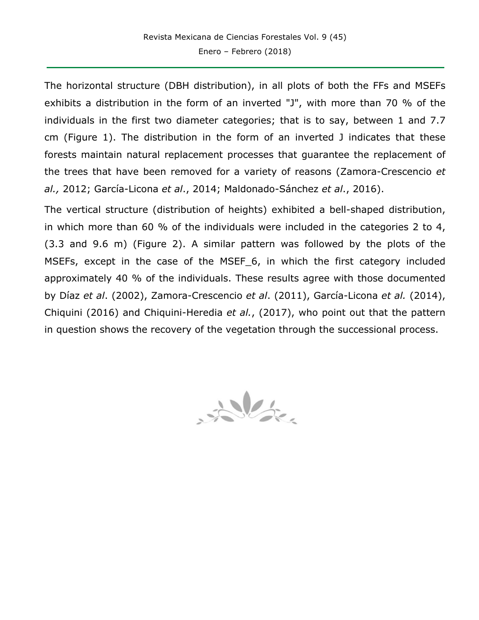The horizontal structure (DBH distribution), in all plots of both the FFs and MSEFs exhibits a distribution in the form of an inverted "J", with more than 70 % of the individuals in the first two diameter categories; that is to say, between 1 and 7.7 cm (Figure 1). The distribution in the form of an inverted J indicates that these forests maintain natural replacement processes that guarantee the replacement of the trees that have been removed for a variety of reasons (Zamora-Crescencio *et al.,* 2012; García-Licona *et al*., 2014; Maldonado-Sánchez *et al*., 2016).

The vertical structure (distribution of heights) exhibited a bell-shaped distribution, in which more than 60 % of the individuals were included in the categories 2 to 4, (3.3 and 9.6 m) (Figure 2). A similar pattern was followed by the plots of the MSEFs, except in the case of the MSEF 6, in which the first category included approximately 40 % of the individuals. These results agree with those documented by Díaz *et al*. (2002), Zamora-Crescencio *et al*. (2011), García-Licona *et al.* (2014), Chiquini (2016) and Chiquini-Heredia *et al.*, (2017), who point out that the pattern in question shows the recovery of the vegetation through the successional process.

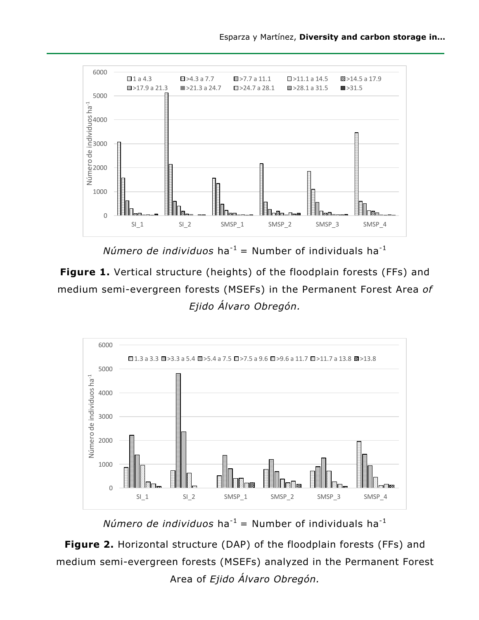

*Número de individuos* ha<sup>-1</sup> = Number of individuals ha<sup>-1</sup>

**Figure 1.** Vertical structure (heights) of the floodplain forests (FFs) and medium semi-evergreen forests (MSEFs) in the Permanent Forest Area *of Ejido Álvaro Obregón.*



*Número de individuos* ha<sup>-1</sup> = Number of individuals ha<sup>-1</sup>

**Figure 2.** Horizontal structure (DAP) of the floodplain forests (FFs) and medium semi-evergreen forests (MSEFs) analyzed in the Permanent Forest Area of *Ejido Álvaro Obregón.*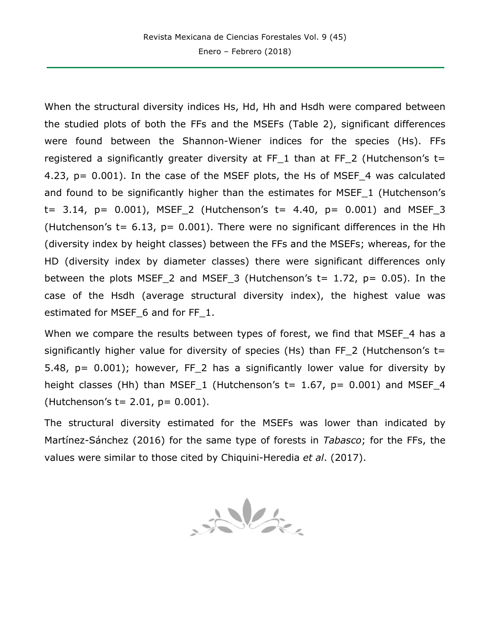When the structural diversity indices Hs, Hd, Hh and Hsdh were compared between the studied plots of both the FFs and the MSEFs (Table 2), significant differences were found between the Shannon-Wiener indices for the species (Hs). FFs registered a significantly greater diversity at FF 1 than at FF 2 (Hutchenson's t= 4.23, p= 0.001). In the case of the MSEF plots, the Hs of MSEF\_4 was calculated and found to be significantly higher than the estimates for MSEF\_1 (Hutchenson's  $t= 3.14$ ,  $p= 0.001$ ), MSEF<sub>1</sub>2 (Hutchenson's  $t= 4.40$ ,  $p= 0.001$ ) and MSEF<sub>12</sub> (Hutchenson's  $t= 6.13$ ,  $p= 0.001$ ). There were no significant differences in the Hh (diversity index by height classes) between the FFs and the MSEFs; whereas, for the HD (diversity index by diameter classes) there were significant differences only between the plots MSEF 2 and MSEF 3 (Hutchenson's  $t= 1.72$ ,  $p= 0.05$ ). In the case of the Hsdh (average structural diversity index), the highest value was estimated for MSEF\_6 and for FF\_1.

When we compare the results between types of forest, we find that MSEF 4 has a significantly higher value for diversity of species (Hs) than FF 2 (Hutchenson's  $t=$ 5.48,  $p = 0.001$ ; however, FF 2 has a significantly lower value for diversity by height classes (Hh) than MSEF 1 (Hutchenson's  $t= 1.67$ ,  $p= 0.001$ ) and MSEF 4 (Hutchenson's  $t = 2.01$ ,  $p = 0.001$ ).

The structural diversity estimated for the MSEFs was lower than indicated by Martínez-Sánchez (2016) for the same type of forests in *Tabasco*; for the FFs, the values were similar to those cited by Chiquini-Heredia *et al*. (2017).

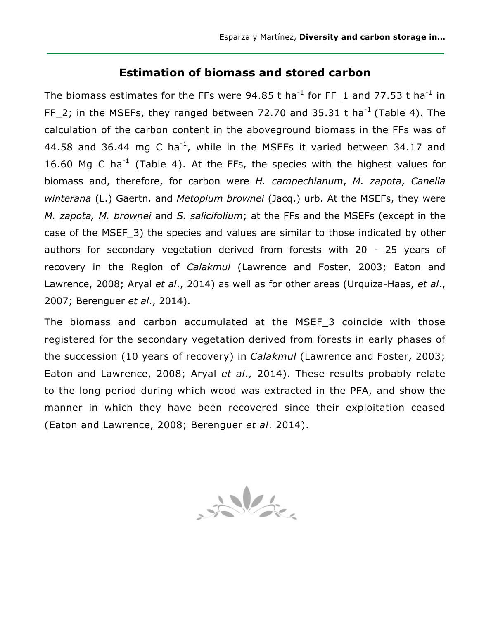### **Estimation of biomass and stored carbon**

The biomass estimates for the FFs were 94.85 t ha<sup>-1</sup> for FF 1 and 77.53 t ha<sup>-1</sup> in FF 2; in the MSEFs, they ranged between 72.70 and 35.31 t ha<sup>-1</sup> (Table 4). The calculation of the carbon content in the aboveground biomass in the FFs was of 44.58 and 36.44 mg C ha<sup>-1</sup>, while in the MSEFs it varied between 34.17 and 16.60 Mg C ha<sup>-1</sup> (Table 4). At the FFs, the species with the highest values for biomass and, therefore, for carbon were *H. campechianum*, *M. zapota*, *Canella winterana* (L.) Gaertn. and *Metopium brownei* (Jacq.) urb. At the MSEFs, they were *M. zapota, M. brownei* and *S. salicifolium*; at the FFs and the MSEFs (except in the case of the MSEF\_3) the species and values are similar to those indicated by other authors for secondary vegetation derived from forests with 20 - 25 years of recovery in the Region of *Calakmul* (Lawrence and Foster, 2003; Eaton and Lawrence, 2008; Aryal *et al*., 2014) as well as for other areas (Urquiza-Haas, *et al*., 2007; Berenguer *et al*., 2014).

The biomass and carbon accumulated at the MSEF\_3 coincide with those registered for the secondary vegetation derived from forests in early phases of the succession (10 years of recovery) in *Calakmul* (Lawrence and Foster, 2003; Eaton and Lawrence, 2008; Aryal *et al.,* 2014). These results probably relate to the long period during which wood was extracted in the PFA, and show the manner in which they have been recovered since their exploitation ceased (Eaton and Lawrence, 2008; Berenguer *et al*. 2014).

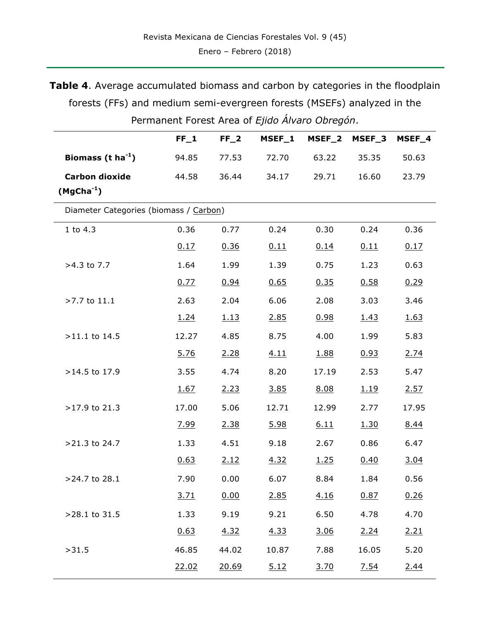**Table 4**. Average accumulated biomass and carbon by categories in the floodplain forests (FFs) and medium semi-evergreen forests (MSEFs) analyzed in the Permanent Forest Area of *Ejido Álvaro Obregón*.

|                                        | $FF_1$ | $FF_2$      | MSEF_1 | MSEF_2 | MSEF_3      | MSEF_4 |
|----------------------------------------|--------|-------------|--------|--------|-------------|--------|
| Biomass ( $t$ ha <sup>-1</sup> )       | 94.85  | 77.53       | 72.70  | 63.22  | 35.35       | 50.63  |
| <b>Carbon dioxide</b>                  | 44.58  | 36.44       | 34.17  | 29.71  | 16.60       | 23.79  |
| $(MgCha-1)$                            |        |             |        |        |             |        |
| Diameter Categories (biomass / Carbon) |        |             |        |        |             |        |
| 1 to $4.3$                             | 0.36   | 0.77        | 0.24   | 0.30   | 0.24        | 0.36   |
|                                        | 0.17   | 0.36        | 0.11   | 0.14   | 0.11        | 0.17   |
| >4.3 to 7.7                            | 1.64   | 1.99        | 1.39   | 0.75   | 1.23        | 0.63   |
|                                        | 0.77   | 0.94        | 0.65   | 0.35   | 0.58        | 0.29   |
| >7.7 to 11.1                           | 2.63   | 2.04        | 6.06   | 2.08   | 3.03        | 3.46   |
|                                        | 1.24   | <u>1.13</u> | 2.85   | 0.98   | 1.43        | 1.63   |
| $>11.1$ to 14.5                        | 12.27  | 4.85        | 8.75   | 4.00   | 1.99        | 5.83   |
|                                        | 5.76   | 2.28        | 4.11   | 1.88   | 0.93        | 2.74   |
| >14.5 to 17.9                          | 3.55   | 4.74        | 8.20   | 17.19  | 2.53        | 5.47   |
|                                        | 1.67   | 2.23        | 3.85   | 8.08   | <u>1.19</u> | 2.57   |
| >17.9 to 21.3                          | 17.00  | 5.06        | 12.71  | 12.99  | 2.77        | 17.95  |
|                                        | 7.99   | 2.38        | 5.98   | 6.11   | 1.30        | 8.44   |
| >21.3 to 24.7                          | 1.33   | 4.51        | 9.18   | 2.67   | 0.86        | 6.47   |
|                                        | 0.63   | 2.12        | 4.32   | 1.25   | 0.40        | 3.04   |
| >24.7 to 28.1                          | 7.90   | 0.00        | 6.07   | 8.84   | 1.84        | 0.56   |
|                                        | 3.71   | 0.00        | 2.85   | 4.16   | 0.87        | 0.26   |
| >28.1 to 31.5                          | 1.33   | 9.19        | 9.21   | 6.50   | 4.78        | 4.70   |
|                                        | 0.63   | 4.32        | 4.33   | 3.06   | 2.24        | 2.21   |
| >31.5                                  | 46.85  | 44.02       | 10.87  | 7.88   | 16.05       | 5.20   |
|                                        | 22.02  | 20.69       | 5.12   | 3.70   | 7.54        | 2.44   |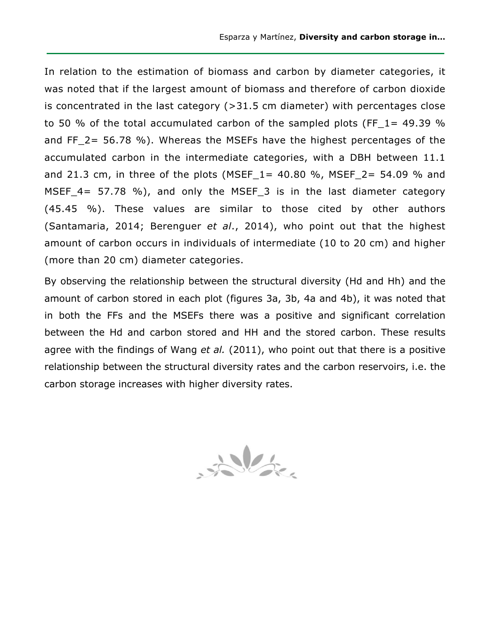In relation to the estimation of biomass and carbon by diameter categories, it was noted that if the largest amount of biomass and therefore of carbon dioxide is concentrated in the last category (>31.5 cm diameter) with percentages close to 50 % of the total accumulated carbon of the sampled plots (FF  $1=$  49.39 % and FF\_2= 56.78 %). Whereas the MSEFs have the highest percentages of the accumulated carbon in the intermediate categories, with a DBH between 11.1 and 21.3 cm, in three of the plots (MSEF\_1 = 40.80 %, MSEF\_2 = 54.09 % and MSEF\_4= 57.78 %), and only the MSEF\_3 is in the last diameter category (45.45 %). These values are similar to those cited by other authors (Santamaria, 2014; Berenguer *et al*., 2014), who point out that the highest amount of carbon occurs in individuals of intermediate (10 to 20 cm) and higher (more than 20 cm) diameter categories.

By observing the relationship between the structural diversity (Hd and Hh) and the amount of carbon stored in each plot (figures 3a, 3b, 4a and 4b), it was noted that in both the FFs and the MSEFs there was a positive and significant correlation between the Hd and carbon stored and HH and the stored carbon. These results agree with the findings of Wang *et al.* (2011), who point out that there is a positive relationship between the structural diversity rates and the carbon reservoirs, i.e. the carbon storage increases with higher diversity rates.

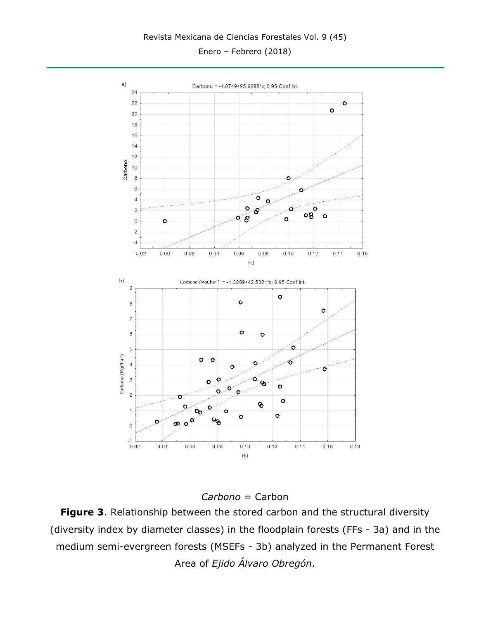Enero – Febrero (2018)



*Carbono* = Carbon

**Figure 3**. Relationship between the stored carbon and the structural diversity (diversity index by diameter classes) in the floodplain forests (FFs - 3a) and in the medium semi-evergreen forests (MSEFs - 3b) analyzed in the Permanent Forest Area of *Ejido Álvaro Obregón*.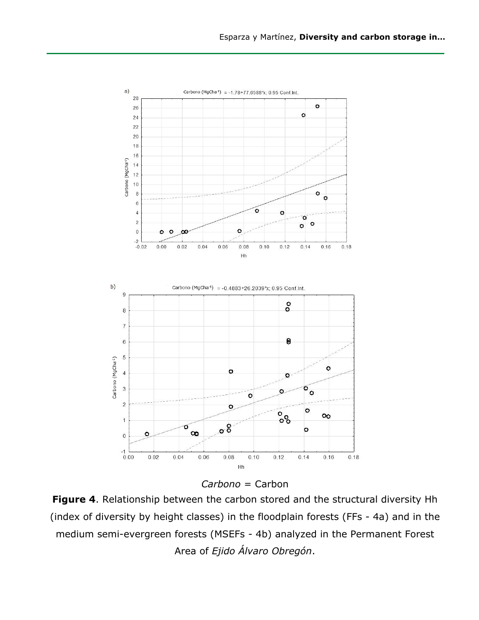



**Figure 4**. Relationship between the carbon stored and the structural diversity Hh (index of diversity by height classes) in the floodplain forests (FFs - 4a) and in the medium semi-evergreen forests (MSEFs - 4b) analyzed in the Permanent Forest Area of *Ejido Álvaro Obregón*.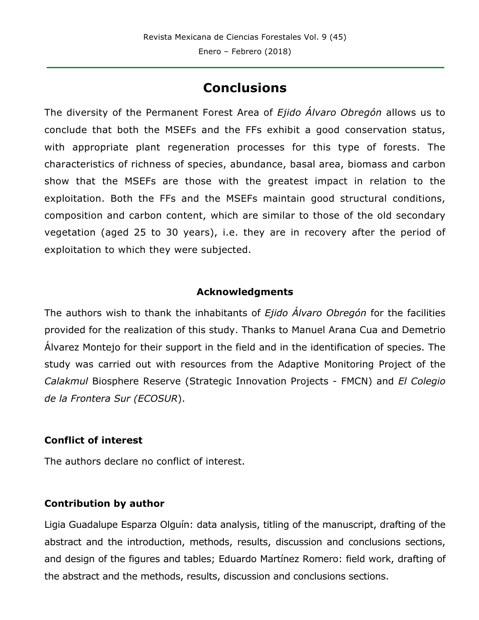## **Conclusions**

The diversity of the Permanent Forest Area of *Ejido Álvaro Obregón* allows us to conclude that both the MSEFs and the FFs exhibit a good conservation status, with appropriate plant regeneration processes for this type of forests. The characteristics of richness of species, abundance, basal area, biomass and carbon show that the MSEFs are those with the greatest impact in relation to the exploitation. Both the FFs and the MSEFs maintain good structural conditions, composition and carbon content, which are similar to those of the old secondary vegetation (aged 25 to 30 years), i.e. they are in recovery after the period of exploitation to which they were subjected.

#### **Acknowledgments**

The authors wish to thank the inhabitants of *Ejido Álvaro Obregón* for the facilities provided for the realization of this study. Thanks to Manuel Arana Cua and Demetrio Álvarez Montejo for their support in the field and in the identification of species. The study was carried out with resources from the Adaptive Monitoring Project of the *Calakmul* Biosphere Reserve (Strategic Innovation Projects - FMCN) and *El Colegio de la Frontera Sur (ECOSUR*).

#### **Conflict of interest**

The authors declare no conflict of interest.

### **Contribution by author**

Ligia Guadalupe Esparza Olguín: data analysis, titling of the manuscript, drafting of the abstract and the introduction, methods, results, discussion and conclusions sections, and design of the figures and tables; Eduardo Martínez Romero: field work, drafting of the abstract and the methods, results, discussion and conclusions sections.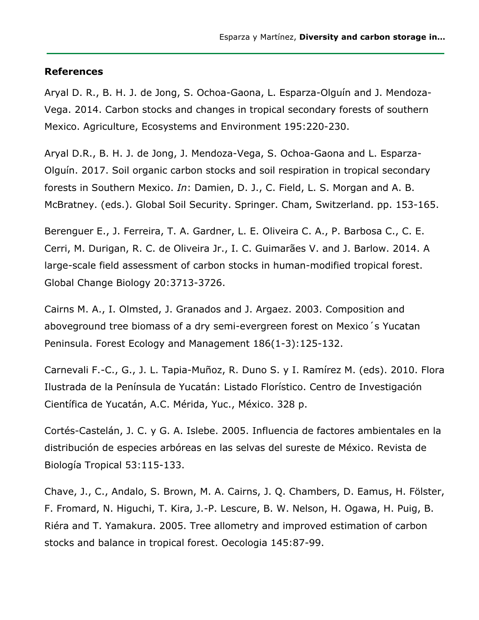#### **References**

Aryal D. R., B. H. J. de Jong, S. Ochoa-Gaona, L. Esparza-Olguín and J. Mendoza-Vega. 2014. Carbon stocks and changes in tropical secondary forests of southern Mexico. Agriculture, Ecosystems and Environment 195:220-230.

Aryal D.R., B. H. J. de Jong, J. Mendoza-Vega, S. Ochoa-Gaona and L. Esparza-Olguín. 2017. Soil organic carbon stocks and soil respiration in tropical secondary forests in Southern Mexico. *In*: Damien, D. J., C. Field, L. S. Morgan and A. B. McBratney. (eds.). Global Soil Security. Springer. Cham, Switzerland. pp. 153-165.

Berenguer E., J. Ferreira, T. A. Gardner, L. E. Oliveira C. A., P. Barbosa C., C. E. Cerri, M. Durigan, R. C. de Oliveira Jr., I. C. Guimarães V. and J. Barlow. 2014. A large-scale field assessment of carbon stocks in human-modified tropical forest. Global Change Biology 20:3713-3726.

Cairns M. A., I. Olmsted, J. Granados and J. Argaez. 2003. Composition and aboveground tree biomass of a dry semi-evergreen forest on Mexico´s Yucatan Peninsula. Forest Ecology and Management 186(1-3):125-132.

Carnevali F.-C., G., J. L. Tapia-Muñoz, R. Duno S. y I. Ramírez M. (eds). 2010. Flora Ilustrada de la Península de Yucatán: Listado Florístico. Centro de Investigación Científica de Yucatán, A.C. Mérida, Yuc., México. 328 p.

Cortés-Castelán, J. C. y G. A. Islebe. 2005. Influencia de factores ambientales en la distribución de especies arbóreas en las selvas del sureste de México. Revista de Biología Tropical 53:115-133.

Chave, J., C., Andalo, S. Brown, M. A. Cairns, J. Q. Chambers, D. Eamus, H. Fölster, F. Fromard, N. Higuchi, T. Kira, J.-P. Lescure, B. W. Nelson, H. Ogawa, H. Puig, B. Riéra and T. Yamakura. 2005. Tree allometry and improved estimation of carbon stocks and balance in tropical forest. Oecologia 145:87-99.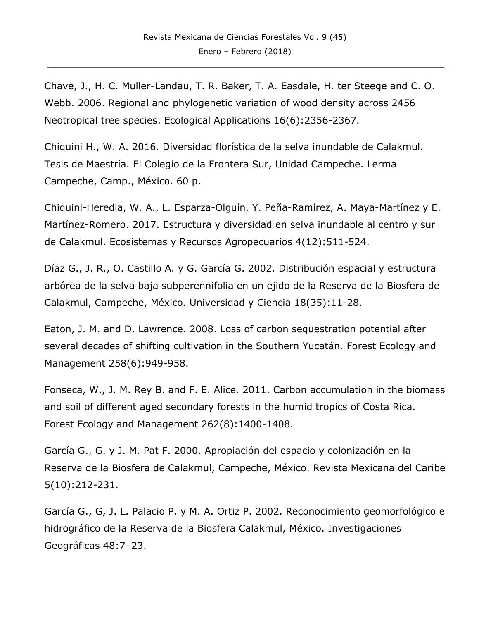Chave, J., H. C. Muller-Landau, T. R. Baker, T. A. Easdale, H. ter Steege and C. O. Webb. 2006. Regional and phylogenetic variation of wood density across 2456 Neotropical tree species. Ecological Applications 16(6):2356-2367.

Chiquini H., W. A. 2016. Diversidad florística de la selva inundable de Calakmul. Tesis de Maestría. El Colegio de la Frontera Sur, Unidad Campeche. Lerma Campeche, Camp., México. 60 p.

Chiquini-Heredia, W. A., L. Esparza-Olguín, Y. Peña-Ramírez, A. Maya-Martínez y E. Martínez-Romero. 2017. Estructura y diversidad en selva inundable al centro y sur de Calakmul. Ecosistemas y Recursos Agropecuarios 4(12):511-524.

Díaz G., J. R., O. Castillo A. y G. García G. 2002. Distribución espacial y estructura arbórea de la selva baja subperennifolia en un ejido de la Reserva de la Biosfera de Calakmul, Campeche, México. Universidad y Ciencia 18(35):11-28.

Eaton, J. M. and D. Lawrence. 2008. Loss of carbon sequestration potential after several decades of shifting cultivation in the Southern Yucatán. Forest Ecology and Management 258(6):949-958.

Fonseca, W., J. M. Rey B. and F. E. Alice. 2011. Carbon accumulation in the biomass and soil of different aged secondary forests in the humid tropics of Costa Rica. Forest Ecology and Management 262(8):1400-1408.

García G., G. y J. M. Pat F. 2000. Apropiación del espacio y colonización en la Reserva de la Biosfera de Calakmul, Campeche, México. Revista Mexicana del Caribe 5(10):212-231.

García G., G, J. L. Palacio P. y M. A. Ortiz P. 2002. Reconocimiento geomorfológico e hidrográfico de la Reserva de la Biosfera Calakmul, México. Investigaciones Geográficas 48:7–23.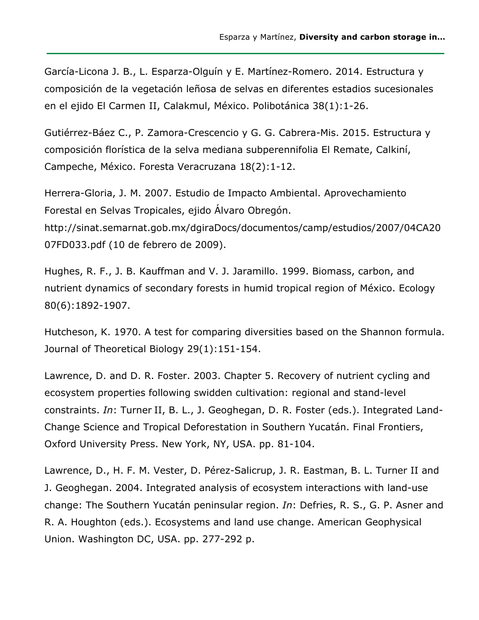García-Licona J. B., L. Esparza-Olguín y E. Martínez-Romero. 2014. Estructura y composición de la vegetación leñosa de selvas en diferentes estadios sucesionales en el ejido El Carmen II, Calakmul, México. Polibotánica 38(1):1-26.

Gutiérrez-Báez C., P. Zamora-Crescencio y G. G. Cabrera-Mis. 2015. Estructura y composición florística de la selva mediana subperennifolia El Remate, Calkiní, Campeche, México. Foresta Veracruzana 18(2):1-12.

Herrera-Gloria, J. M. 2007. Estudio de Impacto Ambiental. Aprovechamiento Forestal en Selvas Tropicales, ejido Álvaro Obregón.

http://sinat.semarnat.gob.mx/dgiraDocs/documentos/camp/estudios/2007/04CA20 07FD033.pdf (10 de febrero de 2009).

Hughes, R. F., J. B. Kauffman and V. J. Jaramillo. 1999. Biomass, carbon, and nutrient dynamics of secondary forests in humid tropical region of México. Ecology 80(6):1892-1907.

Hutcheson, K. 1970. A test for comparing diversities based on the Shannon formula. Journal of Theoretical Biology 29(1):151-154.

Lawrence, D. and D. R. Foster. 2003. Chapter 5. Recovery of nutrient cycling and ecosystem properties following swidden cultivation: regional and stand-level constraints. *In*: Turner II, B. L., J. Geoghegan, D. R. Foster (eds.). Integrated Land-Change Science and Tropical Deforestation in Southern Yucatán. Final Frontiers, Oxford University Press. New York, NY, USA. pp. 81-104.

Lawrence, D., H. F. M. Vester, D. Pérez-Salicrup, J. R. Eastman, B. L. Turner II and J. Geoghegan. 2004. Integrated analysis of ecosystem interactions with land-use change: The Southern Yucatán peninsular region. *In*: Defries, R. S., G. P. Asner and R. A. Houghton (eds.). Ecosystems and land use change. American Geophysical Union. Washington DC, USA. pp. 277-292 p.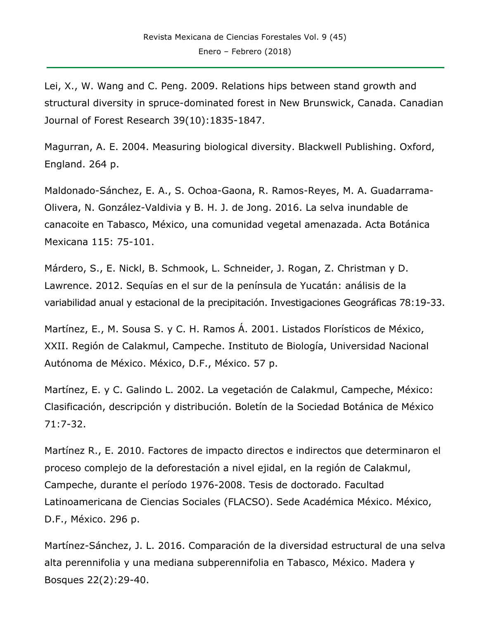Lei, X., W. Wang and C. Peng. 2009. Relations hips between stand growth and structural diversity in spruce-dominated forest in New Brunswick, Canada. Canadian Journal of Forest Research 39(10):1835-1847.

Magurran, A. E. 2004. Measuring biological diversity. Blackwell Publishing. Oxford, England. 264 p.

Maldonado-Sánchez, E. A., S. Ochoa-Gaona, R. Ramos-Reyes, M. A. Guadarrama-Olivera, N. González-Valdivia y B. H. J. de Jong. 2016. La selva inundable de canacoite en Tabasco, México, una comunidad vegetal amenazada. Acta Botánica Mexicana 115: 75-101.

Márdero, S., E. Nickl, B. Schmook, L. Schneider, J. Rogan, Z. Christman y D. Lawrence. 2012. Sequías en el sur de la península de Yucatán: análisis de la variabilidad anual y estacional de la precipitación. Investigaciones Geográficas 78:19-33.

Martínez, E., M. Sousa S. y C. H. Ramos Á. 2001. Listados Florísticos de México, XXII. Región de Calakmul, Campeche. Instituto de Biología, Universidad Nacional Autónoma de México. México, D.F., México. 57 p.

Martínez, E. y C. Galindo L. 2002. La vegetación de Calakmul, Campeche, México: Clasificación, descripción y distribución. Boletín de la Sociedad Botánica de México 71:7-32.

Martínez R., E. 2010. Factores de impacto directos e indirectos que determinaron el proceso complejo de la deforestación a nivel ejidal, en la región de Calakmul, Campeche, durante el período 1976-2008. Tesis de doctorado. Facultad Latinoamericana de Ciencias Sociales (FLACSO). Sede Académica México. México, D.F., México. 296 p.

Martínez-Sánchez, J. L. 2016. Comparación de la diversidad estructural de una selva alta perennifolia y una mediana subperennifolia en Tabasco, México. Madera y Bosques 22(2):29-40.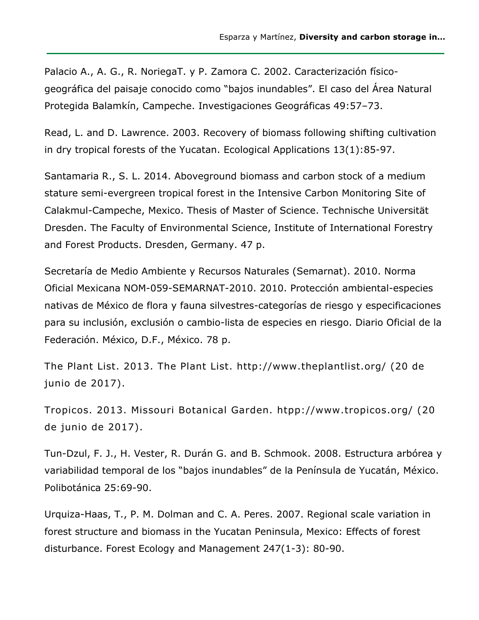Palacio A., A. G., R. NoriegaT. y P. Zamora C. 2002. Caracterización físicogeográfica del paisaje conocido como "bajos inundables". El caso del Área Natural Protegida Balamkín, Campeche. Investigaciones Geográficas 49:57–73.

Read, L. and D. Lawrence. 2003. Recovery of biomass following shifting cultivation in dry tropical forests of the Yucatan. Ecological Applications 13(1):85-97.

Santamaria R., S. L. 2014. Aboveground biomass and carbon stock of a medium stature semi-evergreen tropical forest in the Intensive Carbon Monitoring Site of Calakmul-Campeche, Mexico. Thesis of Master of Science. Technische Universität Dresden. The Faculty of Environmental Science, Institute of International Forestry and Forest Products. Dresden, Germany. 47 p.

Secretaría de Medio Ambiente y Recursos Naturales (Semarnat). 2010. Norma Oficial Mexicana NOM-059-SEMARNAT-2010. 2010. Protección ambiental-especies nativas de México de flora y fauna silvestres-categorías de riesgo y especificaciones para su inclusión, exclusión o cambio-lista de especies en riesgo. Diario Oficial de la Federación. México, D.F., México. 78 p.

The Plant List. 2013. The Plant List. http://www.theplantlist.org/ (20 de junio de 2017).

Tropicos. 2013. Missouri Botanical Garden. htpp://www.tropicos.org/ (20 de junio de 2017).

Tun-Dzul, F. J., H. Vester, R. Durán G. and B. Schmook. 2008. Estructura arbórea y variabilidad temporal de los "bajos inundables" de la Península de Yucatán, México. Polibotánica 25:69-90.

Urquiza-Haas, T., P. M. Dolman and C. A. Peres. 2007. Regional scale variation in forest structure and biomass in the Yucatan Peninsula, Mexico: Effects of forest disturbance. Forest Ecology and Management 247(1-3): 80-90.